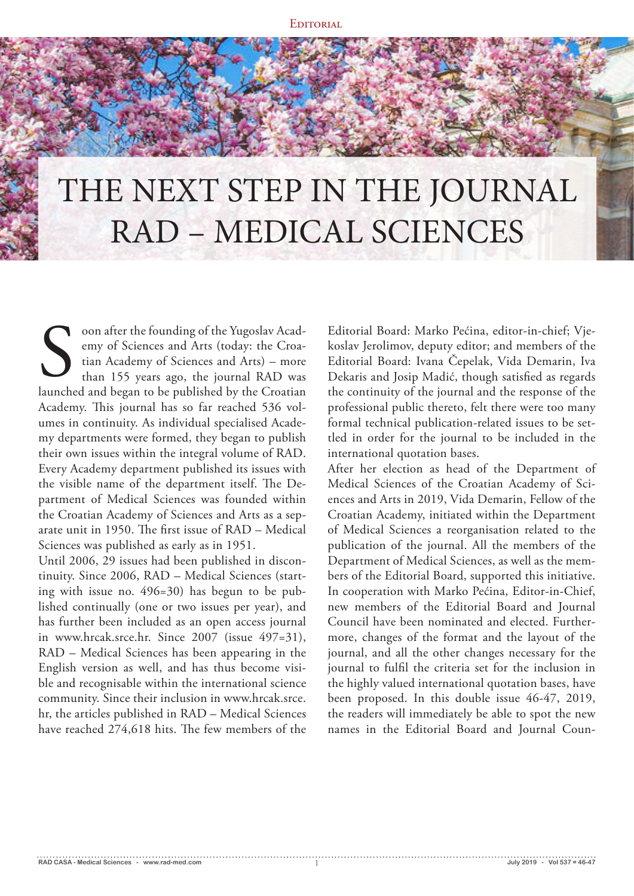**EDITORIAL** 

# THE NEXT STEP IN THE JOURNAL RAD – MEDICAL SCIENCES

oon after the founding of the Yugoslav Academy of Sciences and Arts (today: the Croatian Academy of Sciences and Arts) – more than 155 years ago, the journal RAD was oon after the founding of the Yugoslav Academy of Sciences and Arts (today: the Croatian Academy of Sciences and Arts) – more than 155 years ago, the journal RAD was launched and began to be published by the Croatian Academy. This journal has so far reached 536 volumes in continuity. As individual specialised Academy departments were formed, they began to publish their own issues within the integral volume of RAD. Every Academy department published its issues with the visible name of the department itself. The Department of Medical Sciences was founded within the Croatian Academy of Sciences and Arts as a separate unit in 1950. The first issue of RAD – Medical Sciences was published as early as in 1951.

Until 2006, 29 issues had been published in discontinuity. Since 2006, RAD – Medical Sciences (starting with issue no. 496=30) has begun to be published continually (one or two issues per year), and has further been included as an open access journal in www.hrcak.srce.hr. Since 2007 (issue 497=31), RAD – Medical Sciences has been appearing in the English version as well, and has thus become visible and recognisable within the international science community. Since their inclusion in www.hrcak.srce. hr, the articles published in RAD – Medical Sciences have reached 274,618 hits. The few members of the

Editorial Board: Marko Pećina, editor-in-chief; Vjekoslav Jerolimov, deputy editor; and members of the Editorial Board: Ivana Čepelak, Vida Demarin, Iva Dekaris and Josip Madić, though satisfied as regards the continuity of the journal and the response of the professional public thereto, felt there were too many formal technical publication-related issues to be settled in order for the journal to be included in the international quotation bases.

After her election as head of the Department of Medical Sciences of the Croatian Academy of Sciences and Arts in 2019, Vida Demarin, Fellow of the Croatian Academy, initiated within the Department of Medical Sciences a reorganisation related to the publication of the journal. All the members of the Department of Medical Sciences, as well as the members of the Editorial Board, supported this initiative. In cooperation with Marko Pećina, Editor-in-Chief, new members of the Editorial Board and Journal Council have been nominated and elected. Furthermore, changes of the format and the layout of the journal, and all the other changes necessary for the journal to fulfil the criteria set for the inclusion in the highly valued international quotation bases, have been proposed. In this double issue 46-47, 2019, the readers will immediately be able to spot the new names in the Editorial Board and Journal Coun-